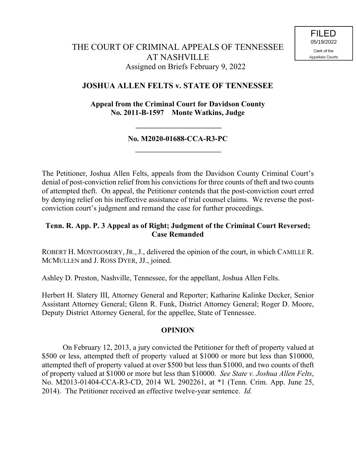## **JOSHUA ALLEN FELTS v. STATE OF TENNESSEE**

**Appeal from the Criminal Court for Davidson County No. 2011-B-1597 Monte Watkins, Judge**

## **No. M2020-01688-CCA-R3-PC**

The Petitioner, Joshua Allen Felts, appeals from the Davidson County Criminal Court's denial of post-conviction relief from his convictions for three counts of theft and two counts of attempted theft. On appeal, the Petitioner contends that the post-conviction court erred by denying relief on his ineffective assistance of trial counsel claims. We reverse the postconviction court's judgment and remand the case for further proceedings.

## **Tenn. R. App. P. 3 Appeal as of Right; Judgment of the Criminal Court Reversed; Case Remanded**

ROBERT H. MONTGOMERY, JR., J., delivered the opinion of the court, in which CAMILLE R. MCMULLEN and J. ROSS DYER, JJ., joined.

Ashley D. Preston, Nashville, Tennessee, for the appellant, Joshua Allen Felts.

Herbert H. Slatery III, Attorney General and Reporter; Katharine Kalinke Decker, Senior Assistant Attorney General; Glenn R. Funk, District Attorney General; Roger D. Moore, Deputy District Attorney General, for the appellee, State of Tennessee.

## **OPINION**

On February 12, 2013, a jury convicted the Petitioner for theft of property valued at \$500 or less, attempted theft of property valued at \$1000 or more but less than \$10000, attempted theft of property valued at over \$500 but less than \$1000, and two counts of theft of property valued at \$1000 or more but less than \$10000. *See State v. Joshua Allen Felts*, No. M2013-01404-CCA-R3-CD, 2014 WL 2902261, at \*1 (Tenn. Crim. App. June 25, 2014). The Petitioner received an effective twelve-year sentence. *Id.*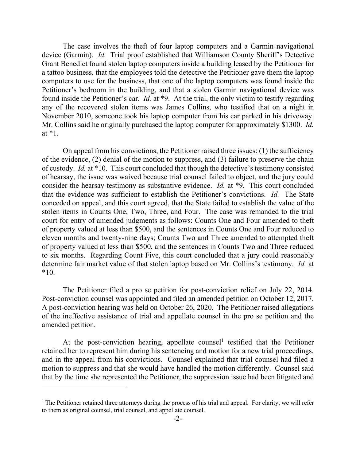The case involves the theft of four laptop computers and a Garmin navigational device (Garmin). *Id.* Trial proof established that Williamson County Sheriff's Detective Grant Benedict found stolen laptop computers inside a building leased by the Petitioner for a tattoo business, that the employees told the detective the Petitioner gave them the laptop computers to use for the business, that one of the laptop computers was found inside the Petitioner's bedroom in the building, and that a stolen Garmin navigational device was found inside the Petitioner's car. *Id.* at \*9. At the trial, the only victim to testify regarding any of the recovered stolen items was James Collins, who testified that on a night in November 2010, someone took his laptop computer from his car parked in his driveway. Mr. Collins said he originally purchased the laptop computer for approximately \$1300. *Id.*  at \*1.

On appeal from his convictions, the Petitioner raised three issues: (1) the sufficiency of the evidence, (2) denial of the motion to suppress, and (3) failure to preserve the chain of custody. *Id.* at \*10. This court concluded that though the detective's testimony consisted of hearsay, the issue was waived because trial counsel failed to object, and the jury could consider the hearsay testimony as substantive evidence. *Id.* at \*9. This court concluded that the evidence was sufficient to establish the Petitioner's convictions. *Id.* The State conceded on appeal, and this court agreed, that the State failed to establish the value of the stolen items in Counts One, Two, Three, and Four. The case was remanded to the trial court for entry of amended judgments as follows: Counts One and Four amended to theft of property valued at less than \$500, and the sentences in Counts One and Four reduced to eleven months and twenty-nine days; Counts Two and Three amended to attempted theft of property valued at less than \$500, and the sentences in Counts Two and Three reduced to six months. Regarding Count Five, this court concluded that a jury could reasonably determine fair market value of that stolen laptop based on Mr. Collins's testimony. *Id.* at \*10.

The Petitioner filed a pro se petition for post-conviction relief on July 22, 2014. Post-conviction counsel was appointed and filed an amended petition on October 12, 2017. A post-conviction hearing was held on October 26, 2020. The Petitioner raised allegations of the ineffective assistance of trial and appellate counsel in the pro se petition and the amended petition.

At the post-conviction hearing, appellate counsel<sup>1</sup> testified that the Petitioner retained her to represent him during his sentencing and motion for a new trial proceedings, and in the appeal from his convictions. Counsel explained that trial counsel had filed a motion to suppress and that she would have handled the motion differently. Counsel said that by the time she represented the Petitioner, the suppression issue had been litigated and

 $\overline{a}$ 

 $<sup>1</sup>$  The Petitioner retained three attorneys during the process of his trial and appeal. For clarity, we will refer</sup> to them as original counsel, trial counsel, and appellate counsel.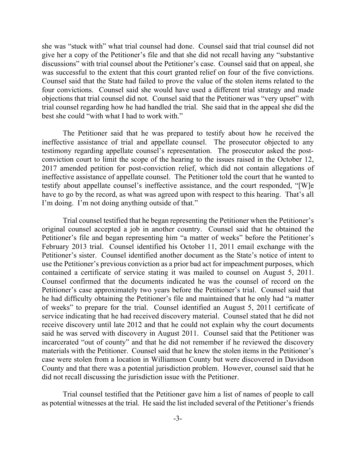she was "stuck with" what trial counsel had done. Counsel said that trial counsel did not give her a copy of the Petitioner's file and that she did not recall having any "substantive discussions" with trial counsel about the Petitioner's case. Counsel said that on appeal, she was successful to the extent that this court granted relief on four of the five convictions. Counsel said that the State had failed to prove the value of the stolen items related to the four convictions. Counsel said she would have used a different trial strategy and made objections that trial counsel did not. Counsel said that the Petitioner was "very upset" with trial counsel regarding how he had handled the trial. She said that in the appeal she did the best she could "with what I had to work with."

The Petitioner said that he was prepared to testify about how he received the ineffective assistance of trial and appellate counsel. The prosecutor objected to any testimony regarding appellate counsel's representation. The prosecutor asked the postconviction court to limit the scope of the hearing to the issues raised in the October 12, 2017 amended petition for post-conviction relief, which did not contain allegations of ineffective assistance of appellate counsel. The Petitioner told the court that he wanted to testify about appellate counsel's ineffective assistance, and the court responded, "[W]e have to go by the record, as what was agreed upon with respect to this hearing. That's all I'm doing. I'm not doing anything outside of that."

Trial counsel testified that he began representing the Petitioner when the Petitioner's original counsel accepted a job in another country. Counsel said that he obtained the Petitioner's file and began representing him "a matter of weeks" before the Petitioner's February 2013 trial. Counsel identified his October 11, 2011 email exchange with the Petitioner's sister. Counsel identified another document as the State's notice of intent to use the Petitioner's previous conviction as a prior bad act for impeachment purposes, which contained a certificate of service stating it was mailed to counsel on August 5, 2011. Counsel confirmed that the documents indicated he was the counsel of record on the Petitioner's case approximately two years before the Petitioner's trial. Counsel said that he had difficulty obtaining the Petitioner's file and maintained that he only had "a matter of weeks" to prepare for the trial. Counsel identified an August 5, 2011 certificate of service indicating that he had received discovery material. Counsel stated that he did not receive discovery until late 2012 and that he could not explain why the court documents said he was served with discovery in August 2011. Counsel said that the Petitioner was incarcerated "out of county" and that he did not remember if he reviewed the discovery materials with the Petitioner. Counsel said that he knew the stolen items in the Petitioner's case were stolen from a location in Williamson County but were discovered in Davidson County and that there was a potential jurisdiction problem. However, counsel said that he did not recall discussing the jurisdiction issue with the Petitioner.

Trial counsel testified that the Petitioner gave him a list of names of people to call as potential witnesses at the trial. He said the list included several of the Petitioner's friends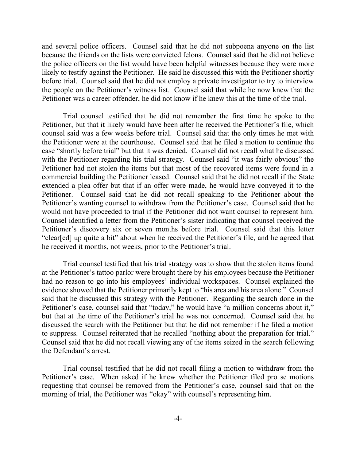and several police officers. Counsel said that he did not subpoena anyone on the list because the friends on the lists were convicted felons. Counsel said that he did not believe the police officers on the list would have been helpful witnesses because they were more likely to testify against the Petitioner. He said he discussed this with the Petitioner shortly before trial. Counsel said that he did not employ a private investigator to try to interview the people on the Petitioner's witness list. Counsel said that while he now knew that the Petitioner was a career offender, he did not know if he knew this at the time of the trial.

Trial counsel testified that he did not remember the first time he spoke to the Petitioner, but that it likely would have been after he received the Petitioner's file, which counsel said was a few weeks before trial. Counsel said that the only times he met with the Petitioner were at the courthouse. Counsel said that he filed a motion to continue the case "shortly before trial" but that it was denied. Counsel did not recall what he discussed with the Petitioner regarding his trial strategy. Counsel said "it was fairly obvious" the Petitioner had not stolen the items but that most of the recovered items were found in a commercial building the Petitioner leased. Counsel said that he did not recall if the State extended a plea offer but that if an offer were made, he would have conveyed it to the Petitioner. Counsel said that he did not recall speaking to the Petitioner about the Petitioner's wanting counsel to withdraw from the Petitioner's case. Counsel said that he would not have proceeded to trial if the Petitioner did not want counsel to represent him. Counsel identified a letter from the Petitioner's sister indicating that counsel received the Petitioner's discovery six or seven months before trial. Counsel said that this letter "clear[ed] up quite a bit" about when he received the Petitioner's file, and he agreed that he received it months, not weeks, prior to the Petitioner's trial.

Trial counsel testified that his trial strategy was to show that the stolen items found at the Petitioner's tattoo parlor were brought there by his employees because the Petitioner had no reason to go into his employees' individual workspaces. Counsel explained the evidence showed that the Petitioner primarily kept to "his area and his area alone." Counsel said that he discussed this strategy with the Petitioner. Regarding the search done in the Petitioner's case, counsel said that "today," he would have "a million concerns about it," but that at the time of the Petitioner's trial he was not concerned. Counsel said that he discussed the search with the Petitioner but that he did not remember if he filed a motion to suppress. Counsel reiterated that he recalled "nothing about the preparation for trial." Counsel said that he did not recall viewing any of the items seized in the search following the Defendant's arrest.

Trial counsel testified that he did not recall filing a motion to withdraw from the Petitioner's case. When asked if he knew whether the Petitioner filed pro se motions requesting that counsel be removed from the Petitioner's case, counsel said that on the morning of trial, the Petitioner was "okay" with counsel's representing him.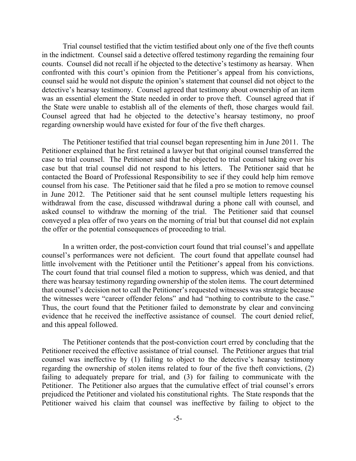Trial counsel testified that the victim testified about only one of the five theft counts in the indictment. Counsel said a detective offered testimony regarding the remaining four counts. Counsel did not recall if he objected to the detective's testimony as hearsay. When confronted with this court's opinion from the Petitioner's appeal from his convictions, counsel said he would not dispute the opinion's statement that counsel did not object to the detective's hearsay testimony. Counsel agreed that testimony about ownership of an item was an essential element the State needed in order to prove theft. Counsel agreed that if the State were unable to establish all of the elements of theft, those charges would fail. Counsel agreed that had he objected to the detective's hearsay testimony, no proof regarding ownership would have existed for four of the five theft charges.

The Petitioner testified that trial counsel began representing him in June 2011. The Petitioner explained that he first retained a lawyer but that original counsel transferred the case to trial counsel. The Petitioner said that he objected to trial counsel taking over his case but that trial counsel did not respond to his letters. The Petitioner said that he contacted the Board of Professional Responsibility to see if they could help him remove counsel from his case. The Petitioner said that he filed a pro se motion to remove counsel in June 2012. The Petitioner said that he sent counsel multiple letters requesting his withdrawal from the case, discussed withdrawal during a phone call with counsel, and asked counsel to withdraw the morning of the trial. The Petitioner said that counsel conveyed a plea offer of two years on the morning of trial but that counsel did not explain the offer or the potential consequences of proceeding to trial.

In a written order, the post-conviction court found that trial counsel's and appellate counsel's performances were not deficient. The court found that appellate counsel had little involvement with the Petitioner until the Petitioner's appeal from his convictions. The court found that trial counsel filed a motion to suppress, which was denied, and that there was hearsay testimony regarding ownership of the stolen items. The court determined that counsel's decision not to call the Petitioner's requested witnesses was strategic because the witnesses were "career offender felons" and had "nothing to contribute to the case." Thus, the court found that the Petitioner failed to demonstrate by clear and convincing evidence that he received the ineffective assistance of counsel. The court denied relief, and this appeal followed.

The Petitioner contends that the post-conviction court erred by concluding that the Petitioner received the effective assistance of trial counsel. The Petitioner argues that trial counsel was ineffective by (1) failing to object to the detective's hearsay testimony regarding the ownership of stolen items related to four of the five theft convictions, (2) failing to adequately prepare for trial, and (3) for failing to communicate with the Petitioner. The Petitioner also argues that the cumulative effect of trial counsel's errors prejudiced the Petitioner and violated his constitutional rights. The State responds that the Petitioner waived his claim that counsel was ineffective by failing to object to the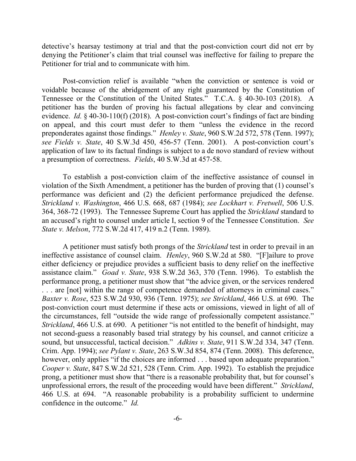detective's hearsay testimony at trial and that the post-conviction court did not err by denying the Petitioner's claim that trial counsel was ineffective for failing to prepare the Petitioner for trial and to communicate with him.

Post-conviction relief is available "when the conviction or sentence is void or voidable because of the abridgement of any right guaranteed by the Constitution of Tennessee or the Constitution of the United States." T.C.A. § 40-30-103 (2018). A petitioner has the burden of proving his factual allegations by clear and convincing evidence. *Id.* § 40-30-110(f) (2018). A post-conviction court's findings of fact are binding on appeal, and this court must defer to them "unless the evidence in the record preponderates against those findings." *Henley v. State*, 960 S.W.2d 572, 578 (Tenn. 1997); *see Fields v. State*, 40 S.W.3d 450, 456-57 (Tenn. 2001). A post-conviction court's application of law to its factual findings is subject to a de novo standard of review without a presumption of correctness. *Fields*, 40 S.W.3d at 457-58.

To establish a post-conviction claim of the ineffective assistance of counsel in violation of the Sixth Amendment, a petitioner has the burden of proving that (1) counsel's performance was deficient and (2) the deficient performance prejudiced the defense. *Strickland v. Washington*, 466 U.S. 668, 687 (1984); *see Lockhart v. Fretwell*, 506 U.S. 364, 368-72 (1993). The Tennessee Supreme Court has applied the *Strickland* standard to an accused's right to counsel under article I, section 9 of the Tennessee Constitution. *See State v. Melson*, 772 S.W.2d 417, 419 n.2 (Tenn. 1989).

A petitioner must satisfy both prongs of the *Strickland* test in order to prevail in an ineffective assistance of counsel claim. *Henley*, 960 S.W.2d at 580. "[F]ailure to prove either deficiency or prejudice provides a sufficient basis to deny relief on the ineffective assistance claim." *Goad v. State*, 938 S.W.2d 363, 370 (Tenn. 1996). To establish the performance prong, a petitioner must show that "the advice given, or the services rendered . . . are [not] within the range of competence demanded of attorneys in criminal cases." *Baxter v. Rose*, 523 S.W.2d 930, 936 (Tenn. 1975); *see Strickland*, 466 U.S. at 690. The post-conviction court must determine if these acts or omissions, viewed in light of all of the circumstances, fell "outside the wide range of professionally competent assistance." *Strickland*, 466 U.S. at 690. A petitioner "is not entitled to the benefit of hindsight, may not second-guess a reasonably based trial strategy by his counsel, and cannot criticize a sound, but unsuccessful, tactical decision." *Adkins v. State*, 911 S.W.2d 334, 347 (Tenn. Crim. App. 1994); *see Pylant v. State*, 263 S.W.3d 854, 874 (Tenn. 2008). This deference, however, only applies "if the choices are informed . . . based upon adequate preparation." *Cooper v. State*, 847 S.W.2d 521, 528 (Tenn. Crim. App. 1992). To establish the prejudice prong, a petitioner must show that "there is a reasonable probability that, but for counsel's unprofessional errors, the result of the proceeding would have been different." *Strickland*, 466 U.S. at 694. "A reasonable probability is a probability sufficient to undermine confidence in the outcome." *Id.*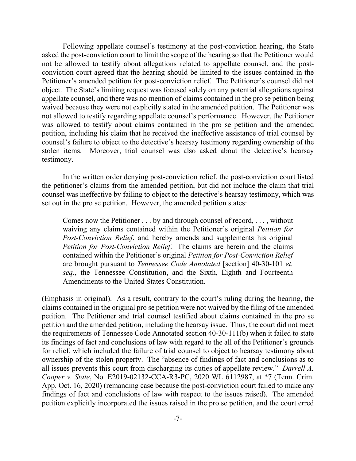Following appellate counsel's testimony at the post-conviction hearing, the State asked the post-conviction court to limit the scope of the hearing so that the Petitioner would not be allowed to testify about allegations related to appellate counsel, and the postconviction court agreed that the hearing should be limited to the issues contained in the Petitioner's amended petition for post-conviction relief. The Petitioner's counsel did not object. The State's limiting request was focused solely on any potential allegations against appellate counsel, and there was no mention of claims contained in the pro se petition being waived because they were not explicitly stated in the amended petition. The Petitioner was not allowed to testify regarding appellate counsel's performance. However, the Petitioner was allowed to testify about claims contained in the pro se petition and the amended petition, including his claim that he received the ineffective assistance of trial counsel by counsel's failure to object to the detective's hearsay testimony regarding ownership of the stolen items. Moreover, trial counsel was also asked about the detective's hearsay testimony.

In the written order denying post-conviction relief, the post-conviction court listed the petitioner's claims from the amended petition, but did not include the claim that trial counsel was ineffective by failing to object to the detective's hearsay testimony, which was set out in the pro se petition. However, the amended petition states:

Comes now the Petitioner . . . by and through counsel of record, . . . , without waiving any claims contained within the Petitioner's original *Petition for Post-Conviction Relief*, and hereby amends and supplements his original *Petition for Post-Conviction Relief*. The claims are herein and the claims contained within the Petitioner's original *Petition for Post-Conviction Relief* are brought pursuant to *Tennessee Code Annotated* [section] 40-30-101 *et. seq*., the Tennessee Constitution, and the Sixth, Eighth and Fourteenth Amendments to the United States Constitution.

(Emphasis in original). As a result, contrary to the court's ruling during the hearing, the claims contained in the original pro se petition were not waived by the filing of the amended petition. The Petitioner and trial counsel testified about claims contained in the pro se petition and the amended petition, including the hearsay issue. Thus, the court did not meet the requirements of Tennessee Code Annotated section 40-30-111(b) when it failed to state its findings of fact and conclusions of law with regard to the all of the Petitioner's grounds for relief, which included the failure of trial counsel to object to hearsay testimony about ownership of the stolen property. The "absence of findings of fact and conclusions as to all issues prevents this court from discharging its duties of appellate review." *Darrell A. Cooper v. State*, No. E2019-02132-CCA-R3-PC, 2020 WL 6112987, at \*7 (Tenn. Crim. App. Oct. 16, 2020) (remanding case because the post-conviction court failed to make any findings of fact and conclusions of law with respect to the issues raised). The amended petition explicitly incorporated the issues raised in the pro se petition, and the court erred